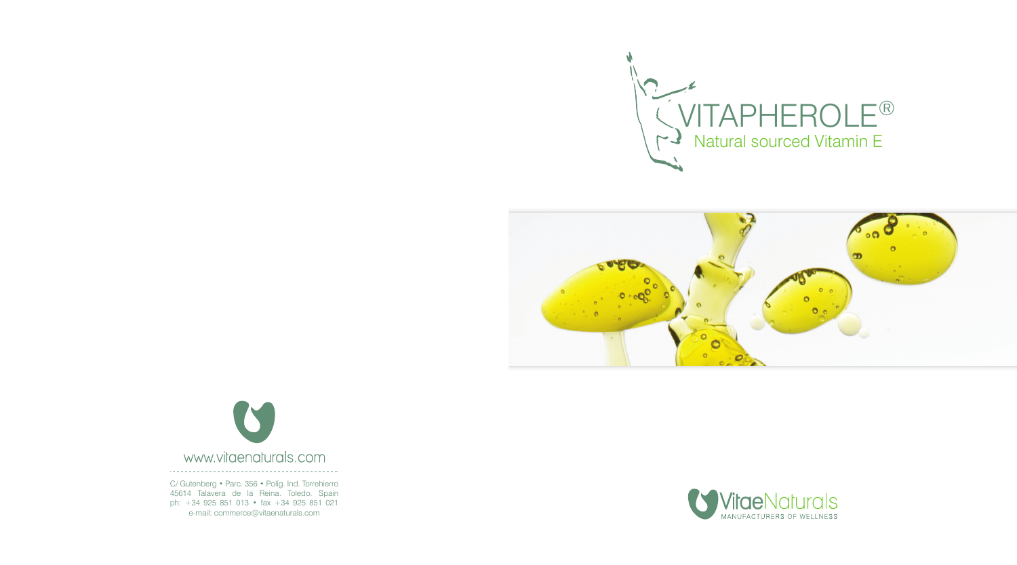





C/ Gutenberg • Parc. 356 • Políg. Ind. Torrehierro 45614 Talavera de la Reina. Toledo. Spain ph: +34 925 851 013 • fax +34 925 851 021 e-mail: commerce@vitaenaturals.com